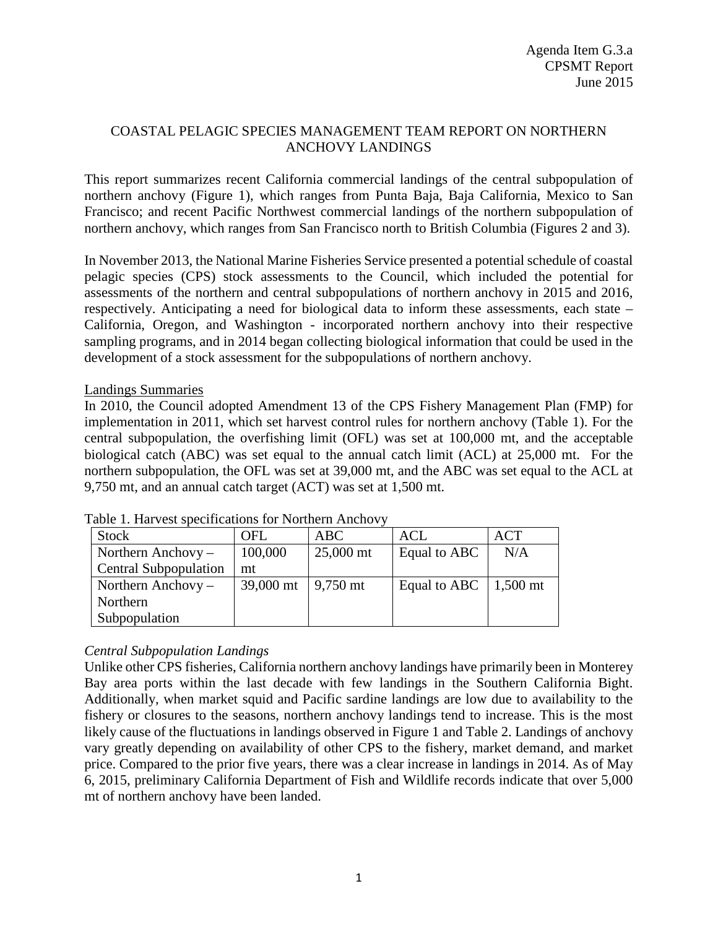## COASTAL PELAGIC SPECIES MANAGEMENT TEAM REPORT ON NORTHERN ANCHOVY LANDINGS

This report summarizes recent California commercial landings of the central subpopulation of northern anchovy (Figure 1), which ranges from Punta Baja, Baja California, Mexico to San Francisco; and recent Pacific Northwest commercial landings of the northern subpopulation of northern anchovy, which ranges from San Francisco north to British Columbia (Figures 2 and 3).

In November 2013, the National Marine Fisheries Service presented a potential schedule of coastal pelagic species (CPS) stock assessments to the Council, which included the potential for assessments of the northern and central subpopulations of northern anchovy in 2015 and 2016, respectively. Anticipating a need for biological data to inform these assessments, each state – California, Oregon, and Washington - incorporated northern anchovy into their respective sampling programs, and in 2014 began collecting biological information that could be used in the development of a stock assessment for the subpopulations of northern anchovy.

## Landings Summaries

In 2010, the Council adopted Amendment 13 of the CPS Fishery Management Plan (FMP) for implementation in 2011, which set harvest control rules for northern anchovy (Table 1). For the central subpopulation, the overfishing limit (OFL) was set at 100,000 mt, and the acceptable biological catch (ABC) was set equal to the annual catch limit (ACL) at 25,000 mt. For the northern subpopulation, the OFL was set at 39,000 mt, and the ABC was set equal to the ACL at 9,750 mt, and an annual catch target (ACT) was set at 1,500 mt.

| Stock                        | <b>OFL</b> | ABC                  | <b>ACL</b>                   | <b>ACT</b> |
|------------------------------|------------|----------------------|------------------------------|------------|
| Northern Anchovy $-$         | 100,000    | 25,000 mt            | Equal to ABC                 | N/A        |
| <b>Central Subpopulation</b> | mt         |                      |                              |            |
| Northern Anchovy $-$         | 39,000 mt  | $\frac{9,750}{2}$ mt | Equal to ABC $\mid$ 1,500 mt |            |
| Northern                     |            |                      |                              |            |
| Subpopulation                |            |                      |                              |            |

Table 1. Harvest specifications for Northern Anchovy

## *Central Subpopulation Landings*

Unlike other CPS fisheries, California northern anchovy landings have primarily been in Monterey Bay area ports within the last decade with few landings in the Southern California Bight. Additionally, when market squid and Pacific sardine landings are low due to availability to the fishery or closures to the seasons, northern anchovy landings tend to increase. This is the most likely cause of the fluctuations in landings observed in Figure 1 and Table 2. Landings of anchovy vary greatly depending on availability of other CPS to the fishery, market demand, and market price. Compared to the prior five years, there was a clear increase in landings in 2014. As of May 6, 2015, preliminary California Department of Fish and Wildlife records indicate that over 5,000 mt of northern anchovy have been landed.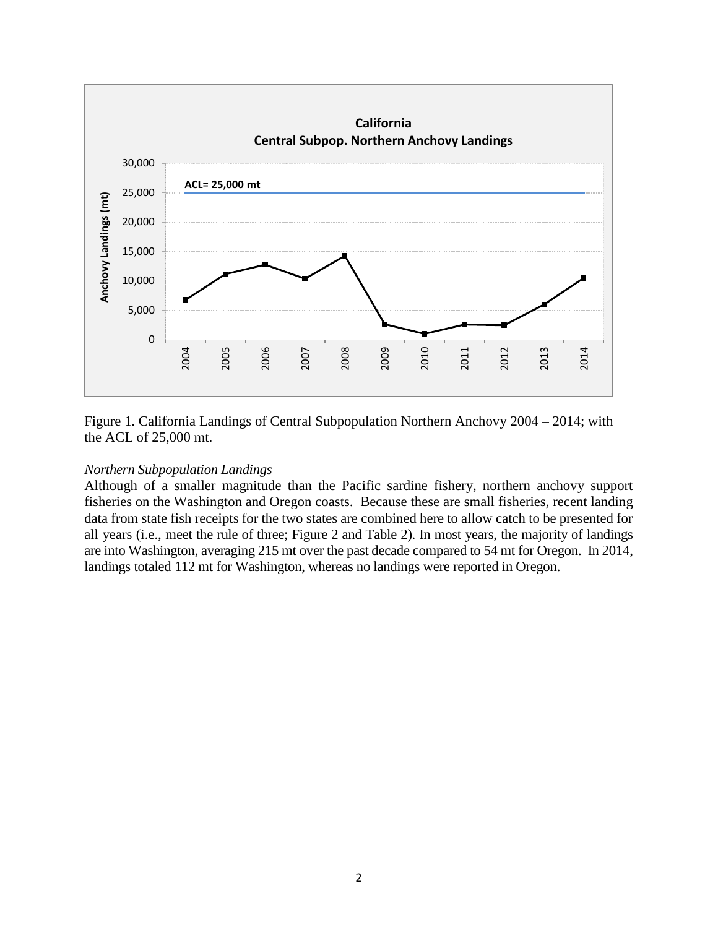

Figure 1. California Landings of Central Subpopulation Northern Anchovy 2004 – 2014; with the ACL of 25,000 mt.

## *Northern Subpopulation Landings*

Although of a smaller magnitude than the Pacific sardine fishery, northern anchovy support fisheries on the Washington and Oregon coasts. Because these are small fisheries, recent landing data from state fish receipts for the two states are combined here to allow catch to be presented for all years (i.e., meet the rule of three; Figure 2 and Table 2). In most years, the majority of landings are into Washington, averaging 215 mt over the past decade compared to 54 mt for Oregon. In 2014, landings totaled 112 mt for Washington, whereas no landings were reported in Oregon.